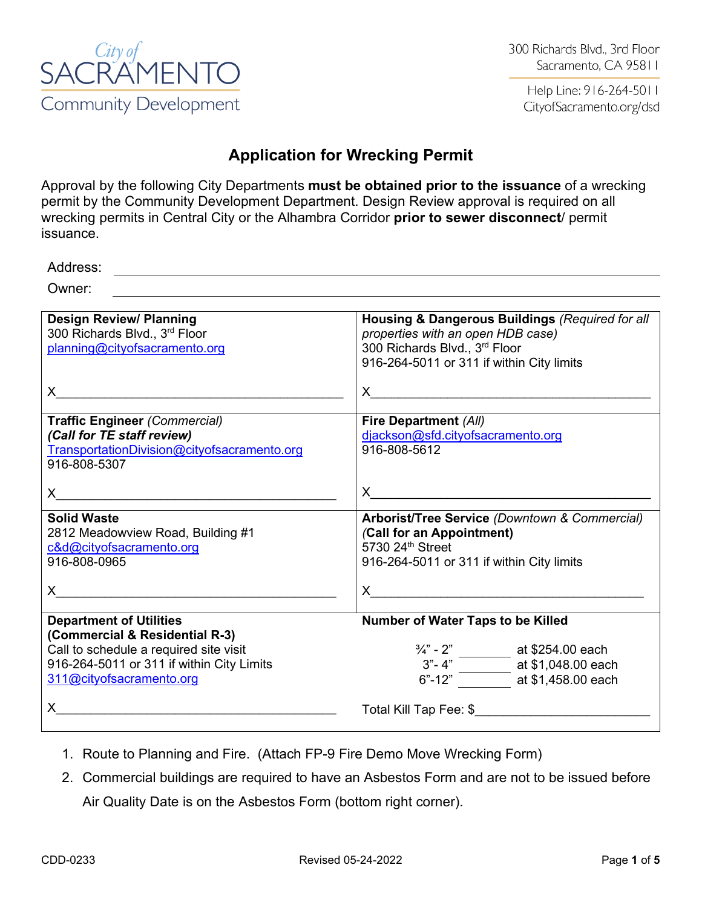

Help Line: 916-264-5011 CityofSacramento.org/dsd

### **Application for Wrecking Permit**

Approval by the following City Departments **must be obtained prior to the issuance** of a wrecking permit by the Community Development Department. Design Review approval is required on all wrecking permits in Central City or the Alhambra Corridor **prior to sewer disconnect**/ permit issuance.

<u> 1980 - Johann Stoff, deutscher Stoff, der Stoff, der Stoff, der Stoff, der Stoff, der Stoff, der Stoff, der S</u>

Address:

Owner:

- 1. Route to Planning and Fire. (Attach FP-9 Fire Demo Move Wrecking Form)
- 2. Commercial buildings are required to have an Asbestos Form and are not to be issued before Air Quality Date is on the Asbestos Form (bottom right corner).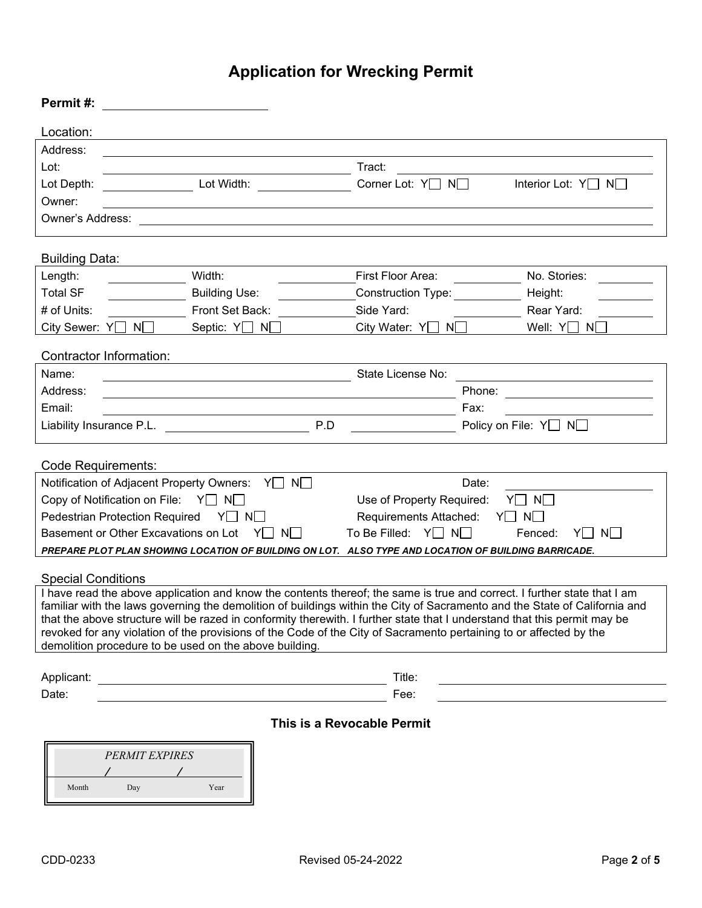# **Application for Wrecking Permit**

| Permit#:                                                                                                                                                                                                                                                |                                                                                                                      |     |                                                                                                                       |        |                                                |
|---------------------------------------------------------------------------------------------------------------------------------------------------------------------------------------------------------------------------------------------------------|----------------------------------------------------------------------------------------------------------------------|-----|-----------------------------------------------------------------------------------------------------------------------|--------|------------------------------------------------|
| Location:                                                                                                                                                                                                                                               |                                                                                                                      |     |                                                                                                                       |        |                                                |
| Address:                                                                                                                                                                                                                                                |                                                                                                                      |     |                                                                                                                       |        |                                                |
| Lot:                                                                                                                                                                                                                                                    | <u> 1989 - Johann Barn, mars eta biztanleria (h. 1982).</u>                                                          |     | Tract:                                                                                                                |        |                                                |
| Lot Depth:                                                                                                                                                                                                                                              | Lot Width:                                                                                                           |     | Corner Lot: $Y \square N \square$                                                                                     |        | Interior Lot: $Y \square N$                    |
| Owner:                                                                                                                                                                                                                                                  |                                                                                                                      |     |                                                                                                                       |        |                                                |
| Owner's Address:                                                                                                                                                                                                                                        |                                                                                                                      |     | <u> 1980 - Johann John Stein, meilich aus der Stein und der Stein und der Stein und der Stein und der Stein und d</u> |        |                                                |
| <b>Building Data:</b>                                                                                                                                                                                                                                   |                                                                                                                      |     |                                                                                                                       |        |                                                |
| Length:                                                                                                                                                                                                                                                 | Width:                                                                                                               |     | First Floor Area:                                                                                                     |        | No. Stories:                                   |
| <b>Total SF</b>                                                                                                                                                                                                                                         | <b>Building Use:</b>                                                                                                 |     | <b>Construction Type:</b>                                                                                             |        | Height:                                        |
| # of Units:                                                                                                                                                                                                                                             | Front Set Back:                                                                                                      |     | Side Yard:                                                                                                            |        | Rear Yard:                                     |
| City Sewer: Y□ N□                                                                                                                                                                                                                                       | Septic: Y□ N□                                                                                                        |     | City Water: Y□ N□                                                                                                     |        | Well: $Y \square N \square$                    |
|                                                                                                                                                                                                                                                         | Contractor Information:                                                                                              |     |                                                                                                                       |        |                                                |
| Name:                                                                                                                                                                                                                                                   |                                                                                                                      |     | State License No:                                                                                                     |        |                                                |
| Address:                                                                                                                                                                                                                                                |                                                                                                                      |     |                                                                                                                       | Phone: | <u> The Communication of the Communication</u> |
| Email:                                                                                                                                                                                                                                                  | <u> 1989 - Andrea Barbara, amerikan personal dan personal dan personal dan personal dan personal dan personal da</u> |     |                                                                                                                       | Fax:   |                                                |
|                                                                                                                                                                                                                                                         | Liability Insurance P.L. Lateral and the set of the set of the set of the set of the set of the set of the set o     | P.D |                                                                                                                       |        | Policy on File: $Y \cap N$                     |
|                                                                                                                                                                                                                                                         |                                                                                                                      |     |                                                                                                                       |        |                                                |
| Code Requirements:                                                                                                                                                                                                                                      |                                                                                                                      |     |                                                                                                                       |        |                                                |
|                                                                                                                                                                                                                                                         | Notification of Adjacent Property Owners: Y□ N□                                                                      |     |                                                                                                                       | Date:  |                                                |
| Copy of Notification on File: $Y \square N \square$<br>Use of Property Required:<br>$Y \square N \square$                                                                                                                                               |                                                                                                                      |     |                                                                                                                       |        |                                                |
| Pedestrian Protection Required<br>$Y \square N \square$<br>Requirements Attached:<br>$Y \square N \square$                                                                                                                                              |                                                                                                                      |     |                                                                                                                       |        |                                                |
| Basement or Other Excavations on Lot<br>To Be Filled: $Y \square N \square$<br>$Y \square N \square$<br>Fenced:<br>Y N  <br>PREPARE PLOT PLAN SHOWING LOCATION OF BUILDING ON LOT. ALSO TYPE AND LOCATION OF BUILDING BARRICADE.                        |                                                                                                                      |     |                                                                                                                       |        |                                                |
|                                                                                                                                                                                                                                                         |                                                                                                                      |     |                                                                                                                       |        |                                                |
| <b>Special Conditions</b>                                                                                                                                                                                                                               |                                                                                                                      |     |                                                                                                                       |        |                                                |
| I have read the above application and know the contents thereof; the same is true and correct. I further state that I am                                                                                                                                |                                                                                                                      |     |                                                                                                                       |        |                                                |
| familiar with the laws governing the demolition of buildings within the City of Sacramento and the State of California and<br>that the above structure will be razed in conformity therewith. I further state that I understand that this permit may be |                                                                                                                      |     |                                                                                                                       |        |                                                |
| revoked for any violation of the provisions of the Code of the City of Sacramento pertaining to or affected by the                                                                                                                                      |                                                                                                                      |     |                                                                                                                       |        |                                                |
|                                                                                                                                                                                                                                                         | demolition procedure to be used on the above building.                                                               |     |                                                                                                                       |        |                                                |
| Applicant:                                                                                                                                                                                                                                              |                                                                                                                      |     | Title:                                                                                                                |        |                                                |
| Date:                                                                                                                                                                                                                                                   |                                                                                                                      |     | Fee:                                                                                                                  |        |                                                |
| This is a Revocable Permit                                                                                                                                                                                                                              |                                                                                                                      |     |                                                                                                                       |        |                                                |
|                                                                                                                                                                                                                                                         |                                                                                                                      |     |                                                                                                                       |        |                                                |
|                                                                                                                                                                                                                                                         | PERMIT EXPIRES                                                                                                       |     |                                                                                                                       |        |                                                |

Month Day Year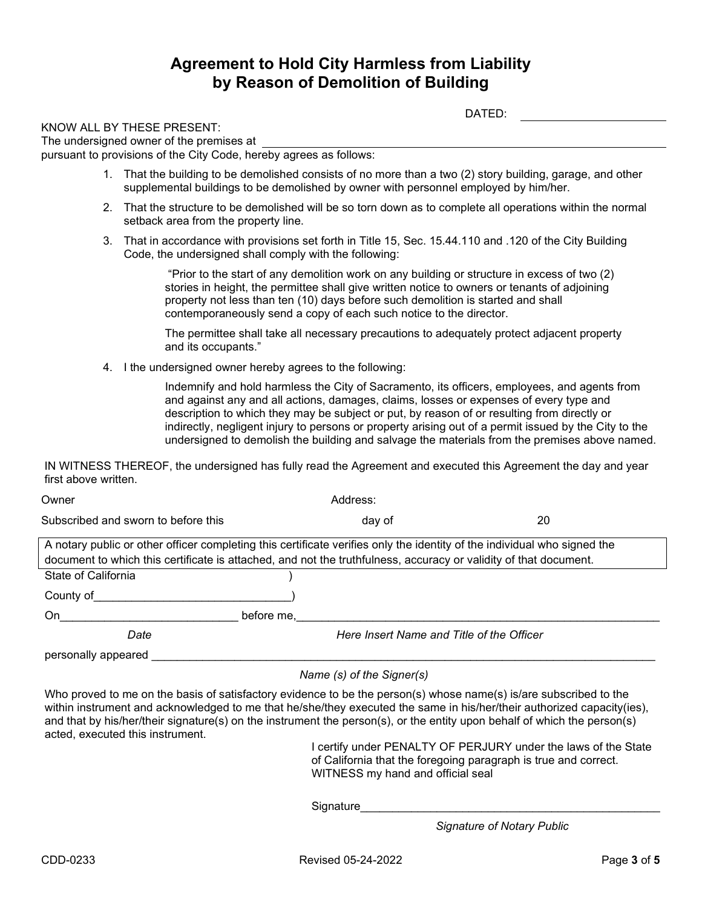#### **Agreement to Hold City Harmless from Liability by Reason of Demolition of Building**

| DATED:                                                                                                                                                                                          |
|-------------------------------------------------------------------------------------------------------------------------------------------------------------------------------------------------|
| KNOW ALL BY THESE PRESENT:<br>The undersigned owner of the premises at<br>pursuant to provisions of the City Code, hereby agrees as follows:                                                    |
| That the building to be demolished consists of no more than a two (2) story building, garage, and other<br>supplemental buildings to be demolished by owner with personnel employed by him/her. |
| 2. That the structure to be demolished will be so torn down as to complete all operations within the normal<br>setback area from the property line.                                             |
| 3. That in accordance with provisions set forth in Title 15, Sec. 15.44.110 and .120 of the City Building<br>Code, the undersigned shall comply with the following:                             |

"Prior to the start of any demolition work on any building or structure in excess of two (2) stories in height, the permittee shall give written notice to owners or tenants of adjoining property not less than ten (10) days before such demolition is started and shall contemporaneously send a copy of each such notice to the director.

The permittee shall take all necessary precautions to adequately protect adjacent property and its occupants."

4. I the undersigned owner hereby agrees to the following:

Indemnify and hold harmless the City of Sacramento, its officers, employees, and agents from and against any and all actions, damages, claims, losses or expenses of every type and description to which they may be subject or put, by reason of or resulting from directly or indirectly, negligent injury to persons or property arising out of a permit issued by the City to the undersigned to demolish the building and salvage the materials from the premises above named.

IN WITNESS THEREOF, the undersigned has fully read the Agreement and executed this Agreement the day and year first above written.

| Owner                                                                                                                    | Address:                                  |    |  |  |  |
|--------------------------------------------------------------------------------------------------------------------------|-------------------------------------------|----|--|--|--|
| Subscribed and sworn to before this                                                                                      | day of                                    | 20 |  |  |  |
| A notary public or other officer completing this certificate verifies only the identity of the individual who signed the |                                           |    |  |  |  |
| document to which this certificate is attached, and not the truthfulness, accuracy or validity of that document.         |                                           |    |  |  |  |
| State of California                                                                                                      |                                           |    |  |  |  |
| County of                                                                                                                |                                           |    |  |  |  |
| before me.<br>On                                                                                                         |                                           |    |  |  |  |
| Date                                                                                                                     | Here Insert Name and Title of the Officer |    |  |  |  |
| personally appeared                                                                                                      |                                           |    |  |  |  |

*Name (s) of the Signer(s)*

Who proved to me on the basis of satisfactory evidence to be the person(s) whose name(s) is/are subscribed to the within instrument and acknowledged to me that he/she/they executed the same in his/her/their authorized capacity(ies), and that by his/her/their signature(s) on the instrument the person(s), or the entity upon behalf of which the person(s) acted, executed this instrument.

> I certify under PENALTY OF PERJURY under the laws of the State of California that the foregoing paragraph is true and correct. WITNESS my hand and official seal

Signature\_

*Signature of Notary Public*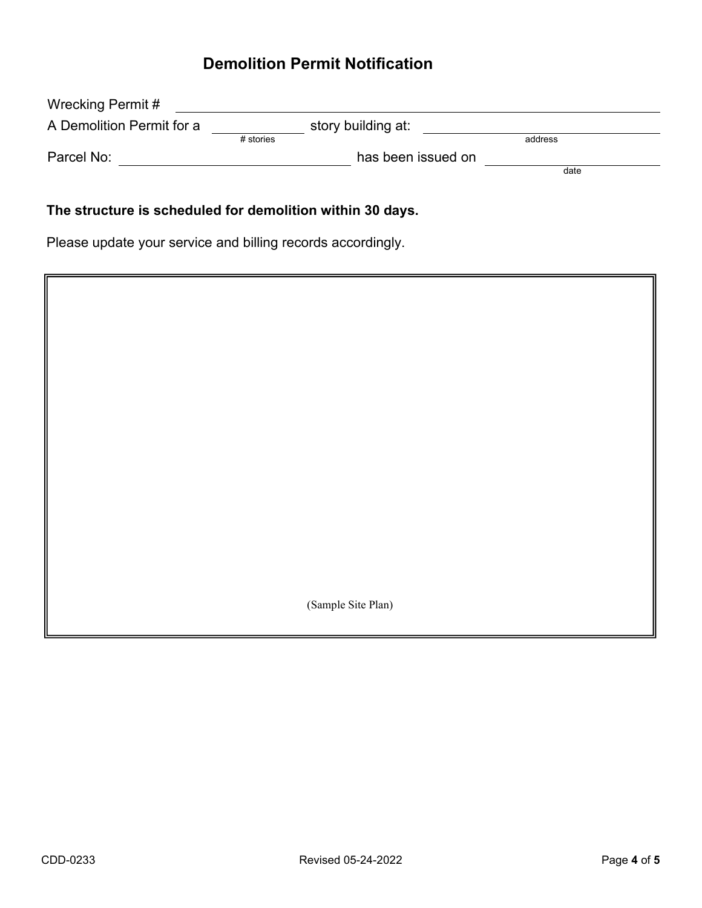# **Demolition Permit Notification**

| Wrecking Permit #         |             |                    |         |  |
|---------------------------|-------------|--------------------|---------|--|
| A Demolition Permit for a |             | story building at: |         |  |
|                           | $#$ stories |                    | address |  |
| Parcel No:                |             | has been issued on |         |  |
|                           |             |                    | date    |  |
|                           |             |                    |         |  |

## **The structure is scheduled for demolition within 30 days.**

Please update your service and billing records accordingly.